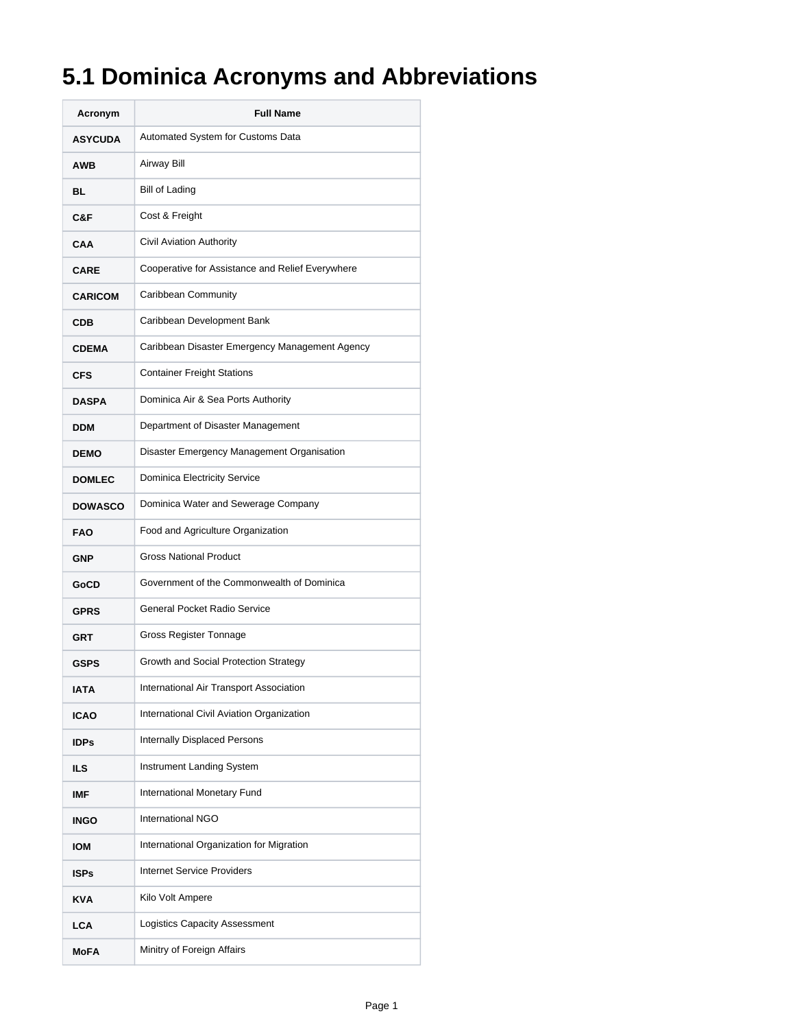## **5.1 Dominica Acronyms and Abbreviations**

| Acronym        | <b>Full Name</b>                                 |
|----------------|--------------------------------------------------|
| <b>ASYCUDA</b> | Automated System for Customs Data                |
| <b>AWB</b>     | Airway Bill                                      |
| BL             | Bill of Lading                                   |
| C&F            | Cost & Freight                                   |
| CAA            | Civil Aviation Authority                         |
| <b>CARE</b>    | Cooperative for Assistance and Relief Everywhere |
| <b>CARICOM</b> | Caribbean Community                              |
| <b>CDB</b>     | Caribbean Development Bank                       |
| <b>CDEMA</b>   | Caribbean Disaster Emergency Management Agency   |
| <b>CFS</b>     | <b>Container Freight Stations</b>                |
| <b>DASPA</b>   | Dominica Air & Sea Ports Authority               |
| <b>DDM</b>     | Department of Disaster Management                |
| <b>DEMO</b>    | Disaster Emergency Management Organisation       |
| <b>DOMLEC</b>  | Dominica Electricity Service                     |
| <b>DOWASCO</b> | Dominica Water and Sewerage Company              |
| <b>FAO</b>     | Food and Agriculture Organization                |
| <b>GNP</b>     | <b>Gross National Product</b>                    |
| GoCD           | Government of the Commonwealth of Dominica       |
| <b>GPRS</b>    | General Pocket Radio Service                     |
| <b>GRT</b>     | Gross Register Tonnage                           |
| <b>GSPS</b>    | Growth and Social Protection Strategy            |
| <b>IATA</b>    | International Air Transport Association          |
| <b>ICAO</b>    | International Civil Aviation Organization        |
| <b>IDPs</b>    | Internally Displaced Persons                     |
| <b>ILS</b>     | Instrument Landing System                        |
| <b>IMF</b>     | International Monetary Fund                      |
| <b>INGO</b>    | <b>International NGO</b>                         |
| <b>IOM</b>     | International Organization for Migration         |
| <b>ISPs</b>    | <b>Internet Service Providers</b>                |
| <b>KVA</b>     | Kilo Volt Ampere                                 |
| <b>LCA</b>     | Logistics Capacity Assessment                    |
| <b>MoFA</b>    | Minitry of Foreign Affairs                       |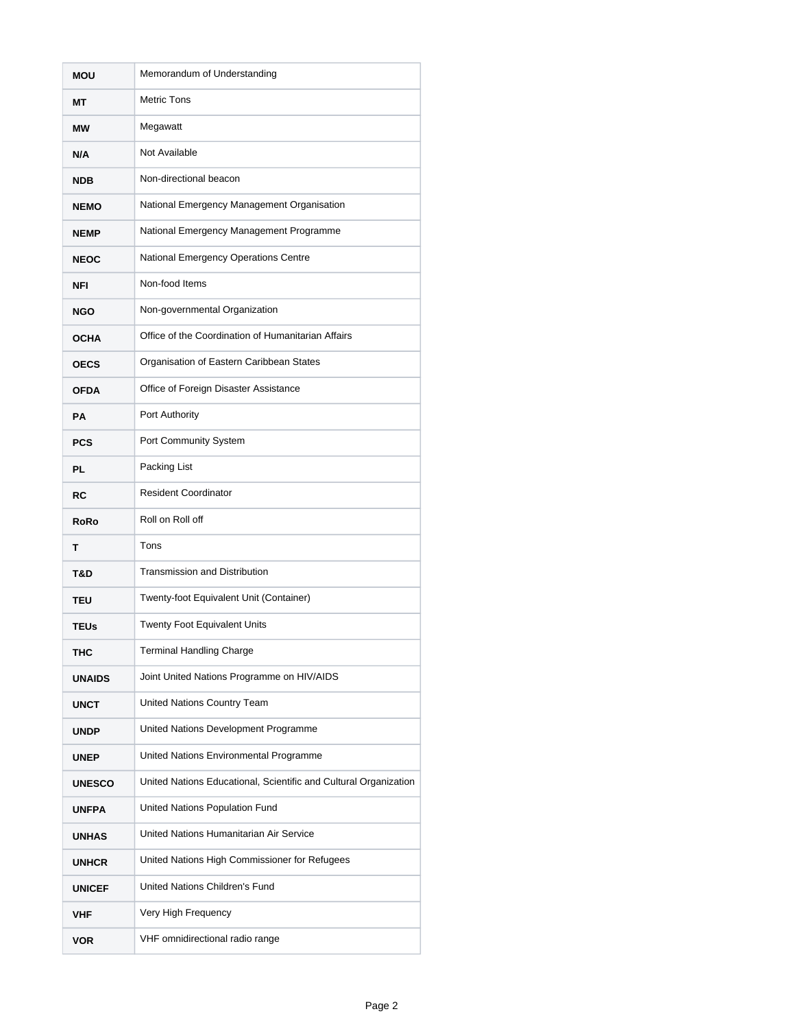| MOU           | Memorandum of Understanding                                      |
|---------------|------------------------------------------------------------------|
| MТ            | <b>Metric Tons</b>                                               |
| МW            | Megawatt                                                         |
| N/A           | Not Available                                                    |
| <b>NDB</b>    | Non-directional beacon                                           |
| <b>NEMO</b>   | National Emergency Management Organisation                       |
| <b>NEMP</b>   | National Emergency Management Programme                          |
| <b>NEOC</b>   | National Emergency Operations Centre                             |
| NFI           | Non-food Items                                                   |
| <b>NGO</b>    | Non-governmental Organization                                    |
| <b>OCHA</b>   | Office of the Coordination of Humanitarian Affairs               |
| <b>OECS</b>   | Organisation of Eastern Caribbean States                         |
| <b>OFDA</b>   | Office of Foreign Disaster Assistance                            |
| PA            | Port Authority                                                   |
| <b>PCS</b>    | Port Community System                                            |
| <b>PL</b>     | Packing List                                                     |
| RC            | <b>Resident Coordinator</b>                                      |
| <b>RoRo</b>   | Roll on Roll off                                                 |
| т             | Tons                                                             |
| T&D           | <b>Transmission and Distribution</b>                             |
| TEU           | Twenty-foot Equivalent Unit (Container)                          |
| <b>TEUs</b>   | Twenty Foot Equivalent Units                                     |
| тнс           | <b>Terminal Handling Charge</b>                                  |
| <b>UNAIDS</b> | Joint United Nations Programme on HIV/AIDS                       |
| UNCT          | United Nations Country Team                                      |
| <b>UNDP</b>   | United Nations Development Programme                             |
| <b>UNEP</b>   | United Nations Environmental Programme                           |
| <b>UNESCO</b> | United Nations Educational, Scientific and Cultural Organization |
| <b>UNFPA</b>  | United Nations Population Fund                                   |
| <b>UNHAS</b>  | United Nations Humanitarian Air Service                          |
| <b>UNHCR</b>  | United Nations High Commissioner for Refugees                    |
| <b>UNICEF</b> | United Nations Children's Fund                                   |
| <b>VHF</b>    | Very High Frequency                                              |
| <b>VOR</b>    | VHF omnidirectional radio range                                  |